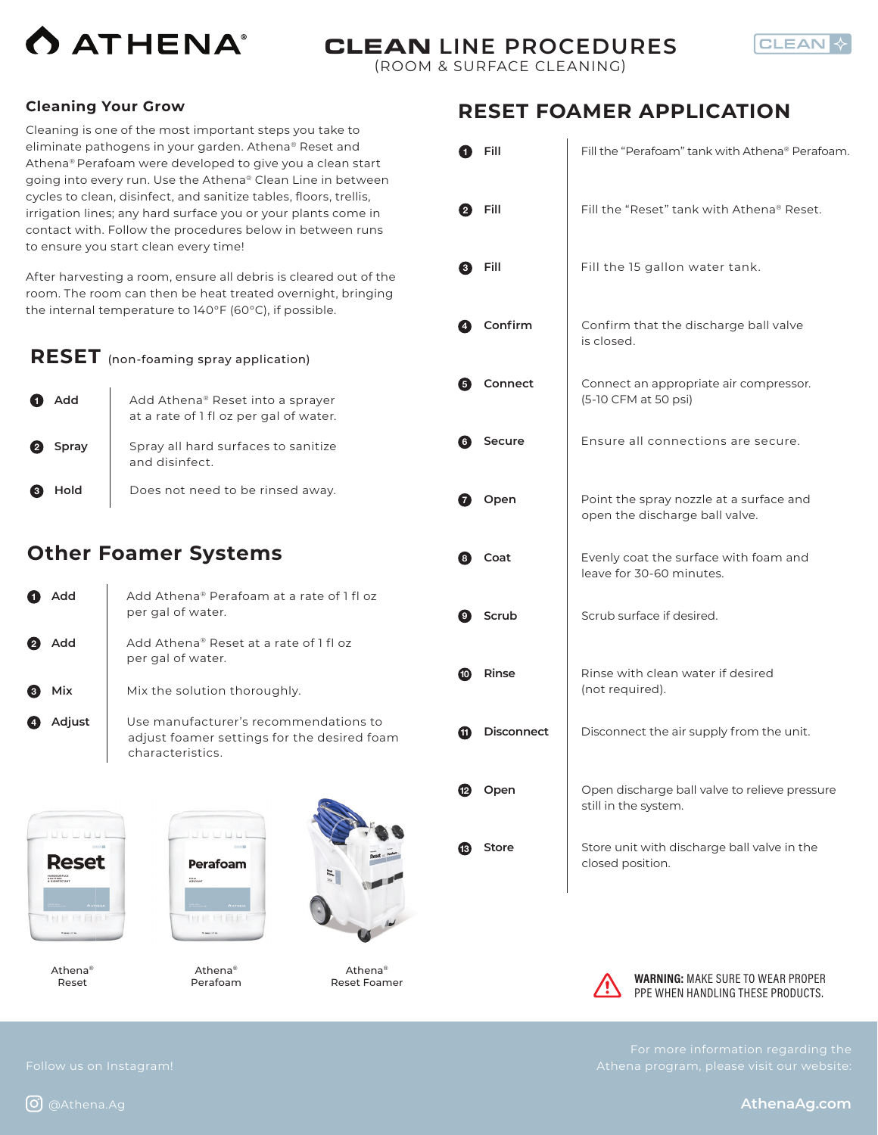



#### **Cleaning Your Grow**

Cleaning is one of the most important steps you take to eliminate pathogens in your garden. Athena® Reset and Athena® Perafoam were developed to give you a clean start going into every run. Use the Athena® Clean Line in between cycles to clean, disinfect, and sanitize tables, floors, trellis, irrigation lines; any hard surface you or your plants come in contact with. Follow the procedures below in between runs to ensure you start clean every time!

After harvesting a room, ensure all debris is cleared out of the room. The room can then be heat treated overnight, bringing the internal temperature to 140°F (60°C), if possible.

| <b>RESET</b> (non-foaming spray application)                                                          |
|-------------------------------------------------------------------------------------------------------|
| <b>1</b> Add   Add Athena <sup>®</sup> Reset into a sprayer<br>at a rate of 1 fl oz per gal of water. |

| $\left( 2\right)$ | Spray | Spray all hard surfaces to sanitize<br>and disinfect. |
|-------------------|-------|-------------------------------------------------------|
| $\left(3\right)$  | Hold  | Does not need to be rinsed away.                      |

### **Other Foamer Systems**

| Add    | Add Athena® Perafoam at a rate of 1 fl oz<br>per gal of water.                                           |
|--------|----------------------------------------------------------------------------------------------------------|
| Add    | Add Athena® Reset at a rate of 1 fl oz<br>per gal of water.                                              |
| Mix    | Mix the solution thoroughly.                                                                             |
| Adjust | Use manufacturer's recommendations to<br>adjust foamer settings for the desired foam<br>characteristics. |
|        |                                                                                                          |

**Reset** HARD SURFACE<br>SANIT ZER<br>A FISIKEEFTANT **MERAL** 

Athena® Reset



Athena® Perafoam



Athena® Reset Foamer

## **RESET FOAMER APPLICATION**

|    | Fill              | Fill the "Perafoam" tank with Athena® Perafoam.                           |
|----|-------------------|---------------------------------------------------------------------------|
| 2  | Fill              | Fill the "Reset" tank with Athena® Reset.                                 |
| 8  | Fill              | Fill the 15 gallon water tank.                                            |
| 4  | Confirm           | Confirm that the discharge ball valve<br>is closed.                       |
| 6  | Connect           | Connect an appropriate air compressor.<br>(5-10 CFM at 50 psi)            |
| 6  | Secure            | Ensure all connections are secure.                                        |
| Ø  | Open              | Point the spray nozzle at a surface and<br>open the discharge ball valve. |
| 8  | Coat              | Evenly coat the surface with foam and<br>leave for 30-60 minutes.         |
| O) | Scrub             | Scrub surface if desired.                                                 |
| −  | Rinse             | Rinse with clean water if desired<br>(not required).                      |
| Œ  | <b>Disconnect</b> | Disconnect the air supply from the unit.                                  |
|    | Open              | Open discharge ball valve to relieve pressure<br>still in the system.     |
| Œ. | Store             | Store unit with discharge ball valve in the<br>closed position.           |



**WARNING: MAKE SURE TO WEAR PROPER** PPE WHEN HANDLING THESE PRODUCTS.

**AthenaAg.com**